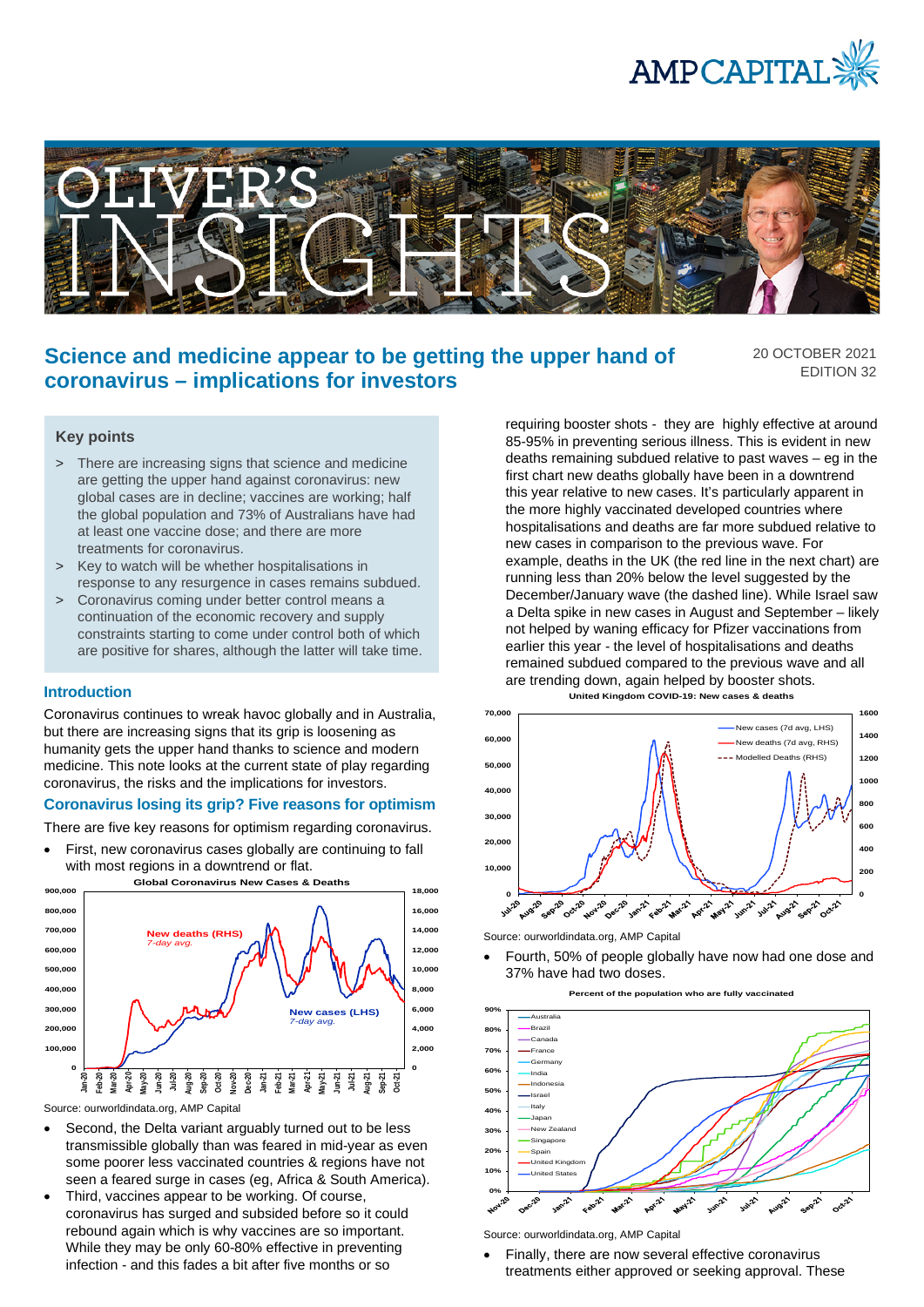



# **Science and medicine appear to be getting the upper hand of coronavirus – implications for investors**

20 OCTOBER 2021 EDITION 32

# **Key points**

- > There are increasing signs that science and medicine are getting the upper hand against coronavirus: new global cases are in decline; vaccines are working; half the global population and 73% of Australians have had at least one vaccine dose; and there are more treatments for coronavirus.
- > Key to watch will be whether hospitalisations in response to any resurgence in cases remains subdued.
- > Coronavirus coming under better control means a continuation of the economic recovery and supply constraints starting to come under control both of which are positive for shares, although the latter will take time.

#### **Introduction**

Coronavirus continues to wreak havoc globally and in Australia, but there are increasing signs that its grip is loosening as humanity gets the upper hand thanks to science and modern medicine. This note looks at the current state of play regarding coronavirus, the risks and the implications for investors.

# **Coronavirus losing its grip? Five reasons for optimism**

There are five key reasons for optimism regarding coronavirus.

First, new coronavirus cases globally are continuing to fall with most regions in a downtrend or flat.



Source: ourworldindata.org, AMP Capital

- Second, the Delta variant arguably turned out to be less transmissible globally than was feared in mid-year as even some poorer less vaccinated countries & regions have not seen a feared surge in cases (eg, Africa & South America).
- Third, vaccines appear to be working. Of course, coronavirus has surged and subsided before so it could rebound again which is why vaccines are so important. While they may be only 60-80% effective in preventing infection - and this fades a bit after five months or so

requiring booster shots - they are highly effective at around 85-95% in preventing serious illness. This is evident in new deaths remaining subdued relative to past waves – eg in the first chart new deaths globally have been in a downtrend this year relative to new cases. It's particularly apparent in the more highly vaccinated developed countries where hospitalisations and deaths are far more subdued relative to new cases in comparison to the previous wave. For example, deaths in the UK (the red line in the next chart) are running less than 20% below the level suggested by the December/January wave (the dashed line). While Israel saw a Delta spike in new cases in August and September – likely not helped by waning efficacy for Pfizer vaccinations from earlier this year - the level of hospitalisations and deaths remained subdued compared to the previous wave and all are trending down, again helped by booster shots.



Source: ourworldindata.org, AMP Capital

• Fourth, 50% of people globally have now had one dose and 37% have had two doses.





Source: ourworldindata.org, AMP Capital

• Finally, there are now several effective coronavirus treatments either approved or seeking approval. These